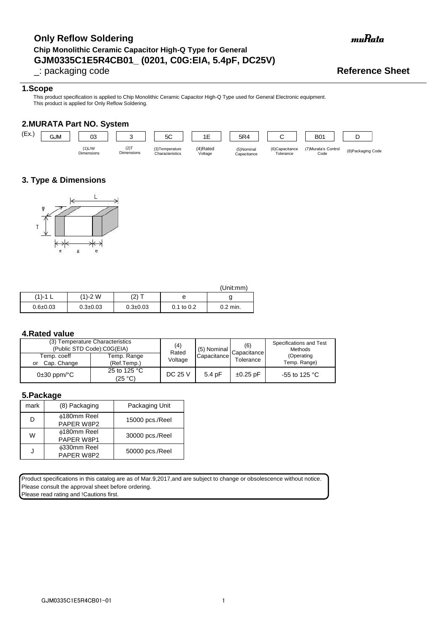## **GJM0335C1E5R4CB01\_ (0201, C0G:EIA, 5.4pF, DC25V) Only Reflow Soldering Chip Monolithic Ceramic Capacitor High-Q Type for General**

### **1.Scope**

This product specification is applied to Chip Monolithic Ceramic Capacitor High-Q Type used for General Electronic equipment. This product is applied for Only Reflow Soldering.

### **2.MURATA Part NO. System**



### **3. Type & Dimensions**



|              |                |                |                | (Unit:mm)  |
|--------------|----------------|----------------|----------------|------------|
| (1)-1        | (1)-2 W        | $(2)$ T        | е              |            |
| $0.6 + 0.03$ | $0.3 \pm 0.03$ | $0.3 \pm 0.03$ | $0.1$ to $0.2$ | $0.2$ min. |

### **4.Rated value**

| (3) Temperature Characteristics<br>(Public STD Code):C0G(EIA) | (4)<br>Rated               | (5) Nominal | (6)<br>Capacitance I | Specifications and Test<br>Methods |                            |  |  |  |
|---------------------------------------------------------------|----------------------------|-------------|----------------------|------------------------------------|----------------------------|--|--|--|
| Temp. coeff<br>Cap. Change<br>or                              | Temp. Range<br>(Ref.Temp.) | Voltage     | Capacitance          | Tolerance                          | (Operating<br>Temp. Range) |  |  |  |
| $0\pm 30$ ppm/ $^{\circ}$ C                                   | 25 to 125 °C<br>(25 °C)    | DC 25 V     | 5.4 pF               | $\pm 0.25$ pF                      | -55 to 125 $^{\circ}$ C    |  |  |  |

#### **5.Package**

| mark | (8) Packaging                    | Packaging Unit  |
|------|----------------------------------|-----------------|
| D    | ∲180mm Reel<br>PAPER W8P2        | 15000 pcs./Reel |
| w    | <b>¢180mm Reel</b><br>PAPER W8P1 | 30000 pcs./Reel |
|      | <b>¢330mm Reel</b><br>PAPER W8P2 | 50000 pcs./Reel |

Product specifications in this catalog are as of Mar.9,2017,and are subject to change or obsolescence without notice. Please consult the approval sheet before ordering.

Please read rating and !Cautions first.

# muRata

# \_: packaging code **Reference Sheet**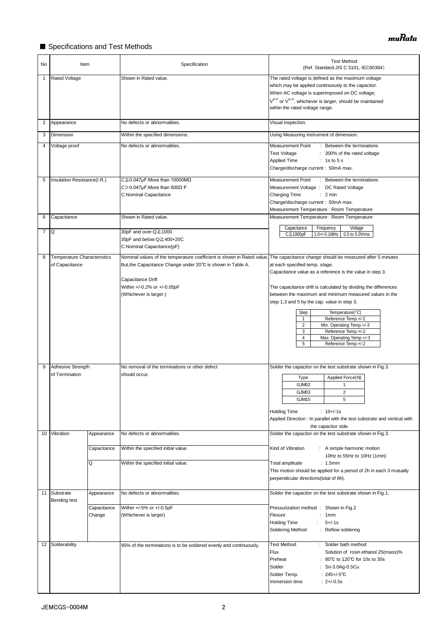### ■ Specifications and Test Methods

| No             | Item                                                 |                       | Specification                                                                                                                                                                                                                                                                 | <b>Test Method</b><br>(Ref. Standard: JIS C 5101, IEC60384)                                                                                                                                                                                                                                                                                                                                                                                                                                  |
|----------------|------------------------------------------------------|-----------------------|-------------------------------------------------------------------------------------------------------------------------------------------------------------------------------------------------------------------------------------------------------------------------------|----------------------------------------------------------------------------------------------------------------------------------------------------------------------------------------------------------------------------------------------------------------------------------------------------------------------------------------------------------------------------------------------------------------------------------------------------------------------------------------------|
| 1              | <b>Rated Voltage</b>                                 |                       | Shown in Rated value.                                                                                                                                                                                                                                                         | The rated voltage is defined as the maximum voltage<br>which may be applied continuously to the capacitor.<br>When AC voltage is superimposed on DC voltage,<br>V <sup>P-P</sup> or V <sup>O-P</sup> , whichever is larger, should be maintained<br>within the rated voltage range.                                                                                                                                                                                                          |
| 2              | Appearance                                           |                       | No defects or abnormalities.                                                                                                                                                                                                                                                  | Visual inspection.                                                                                                                                                                                                                                                                                                                                                                                                                                                                           |
| 3              | Dimension                                            |                       | Within the specified dimensions.                                                                                                                                                                                                                                              | Using Measuring instrument of dimension.                                                                                                                                                                                                                                                                                                                                                                                                                                                     |
| 4              | Voltage proof                                        |                       | No defects or abnormalities.                                                                                                                                                                                                                                                  | Measurement Point<br>: Between the terminations<br><b>Test Voltage</b><br>: 300% of the rated voltage<br>Applied Time<br>: 1s to 5s<br>Charge/discharge current: 50mA max.                                                                                                                                                                                                                                                                                                                   |
| 5              | Insulation Resistance(I.R.)                          |                       | C $\leq$ 0.047µF:More than 10000M $\Omega$<br>C>0.047µF:More than 500 $\Omega$ ·F<br>C:Nominal Capacitance                                                                                                                                                                    | Measurement Point<br>: Between the terminations<br>Measurement Voltage : DC Rated Voltage<br>Charging Time<br>: 2 min<br>Charge/discharge current: 50mA max.<br>Measurement Temperature : Room Temperature                                                                                                                                                                                                                                                                                   |
| 6              | Capacitance                                          |                       | Shown in Rated value.                                                                                                                                                                                                                                                         | Measurement Temperature : Room Temperature                                                                                                                                                                                                                                                                                                                                                                                                                                                   |
| $\overline{7}$ | <b>Q</b>                                             |                       | 30pF and over:Q≧1000<br>30pF and below:Q≧400+20C<br>C:Nominal Capacitance(pF)                                                                                                                                                                                                 | Capacitance<br>Frequency<br>Voltage<br>$C \leq 1000pF$<br>1.0+/-0.1MHz 0.5 to 5.0Vrms                                                                                                                                                                                                                                                                                                                                                                                                        |
| 8              | <b>Temperature Characteristics</b><br>of Capacitance |                       | Nominal values of the temperature coefficient is shown in Rated value. The capacitance change should be measured after 5 minutes<br>But, the Capacitance Change under 20°C is shown in Table A.<br>Capacitance Drift<br>Within +/-0.2% or +/-0.05pF<br>(Whichever is larger.) | at each specified temp. stage.<br>Capacitance value as a reference is the value in step 3.<br>The capacitance drift is calculated by dividing the differences<br>between the maximum and minimum measured values in the<br>step 1,3 and 5 by the cap. value in step 3.<br>Temperature(°C)<br>Step<br>Reference Temp.+/-2<br>$\mathbf{1}$<br>$\overline{2}$<br>Min. Operating Temp.+/-3<br>Reference Temp.+/-2<br>3<br>$\overline{4}$<br>Max. Operating Temp.+/-3<br>5<br>Reference Temp.+/-2 |
| 9              | Adhesive Strength<br>of Termination                  |                       | No removal of the terminations or other defect<br>should occur.                                                                                                                                                                                                               | Solder the capacitor on the test substrate shown in Fig.3.<br>Applied Force(N)<br>Type<br>GJM02<br>$\mathbf{1}$<br>GJM03<br>$\overline{c}$<br>GJM15<br>5<br><b>Holding Time</b><br>: $10+/-1s$<br>Applied Direction : In parallel with the test substrate and vertical with<br>the capacitor side.                                                                                                                                                                                           |
| 10             | Vibration                                            | Appearance            | No defects or abnormalities.                                                                                                                                                                                                                                                  | Solder the capacitor on the test substrate shown in Fig.3.                                                                                                                                                                                                                                                                                                                                                                                                                                   |
|                |                                                      | Capacitance           | Within the specified initial value.                                                                                                                                                                                                                                           | Kind of Vibration<br>: A simple harmonic motion                                                                                                                                                                                                                                                                                                                                                                                                                                              |
|                |                                                      | Q                     | Within the specified initial value.                                                                                                                                                                                                                                           | 10Hz to 55Hz to 10Hz (1min)<br>Total amplitude<br>: 1.5mm<br>This motion should be applied for a period of 2h in each 3 mutually<br>perpendicular directions(total of 6h).                                                                                                                                                                                                                                                                                                                   |
| 11             | Substrate                                            | Appearance            | No defects or abnormalities.                                                                                                                                                                                                                                                  | Solder the capacitor on the test substrate shown in Fig.1.                                                                                                                                                                                                                                                                                                                                                                                                                                   |
|                | Bending test                                         | Capacitance<br>Change | Within +/-5% or +/-0.5pF<br>(Whichever is larger)                                                                                                                                                                                                                             | Pressurization method: Shown in Fig.2<br>Flexure<br>1mm<br>÷.<br>$5 + (-1s)$<br><b>Holding Time</b><br>÷.<br>Soldering Method<br>: Reflow soldering                                                                                                                                                                                                                                                                                                                                          |
| 12             | Solderability                                        |                       | 95% of the terminations is to be soldered evenly and continuously.                                                                                                                                                                                                            | <b>Test Method</b><br>Solder bath method<br>÷.<br>Flux<br>Solution of rosin ethanol 25(mass)%<br>Preheat<br>: 80°C to 120°C for 10s to 30s<br>Solder<br>: Sn-3.0Ag-0.5Cu<br>: $245 + (-5)$ °C<br>Solder Temp.<br>$: 2 + / -0.5s$<br>Immersion time                                                                                                                                                                                                                                           |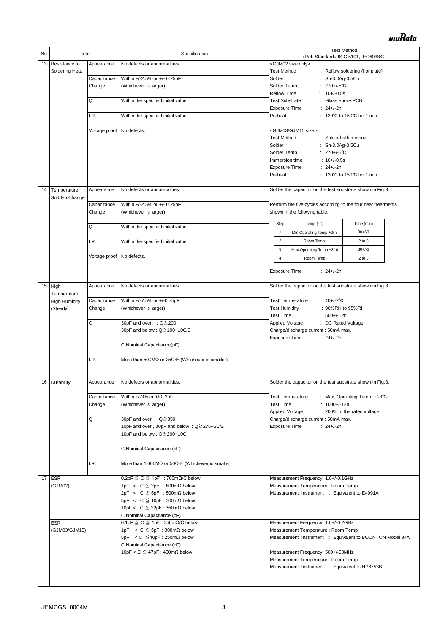| No | Item                        |                           | Specification                                                              | <b>Test Method</b><br>(Ref. Standard: JIS C 5101, IEC60384)   |  |  |
|----|-----------------------------|---------------------------|----------------------------------------------------------------------------|---------------------------------------------------------------|--|--|
| 13 | Resistance to               | Appearance                | No defects or abnormalities.                                               | <gjm02 only="" size=""></gjm02>                               |  |  |
|    | Soldering Heat              |                           |                                                                            | <b>Test Method</b><br>: Reflow soldering (hot plate)          |  |  |
|    |                             | Capacitance               | Within +/-2.5% or +/- 0.25pF                                               | Solder<br>: Sn-3.0Ag-0.5Cu                                    |  |  |
|    |                             | Change                    | (Whichever is larger)                                                      | : $270 + (-5)$ °C<br>Solder Temp.                             |  |  |
|    |                             |                           |                                                                            | : $10+/-0.5s$<br>Reflow Time                                  |  |  |
|    |                             | Q                         | Within the specified initial value.                                        | <b>Test Substrate</b><br>: Glass epoxy PCB                    |  |  |
|    |                             |                           |                                                                            | <b>Exposure Time</b><br>: $24+/-2h$                           |  |  |
|    |                             | I.R.                      | Within the specified initial value.                                        | : 120°C to 150°C for 1 min<br>Preheat                         |  |  |
|    |                             |                           |                                                                            |                                                               |  |  |
|    |                             | Voltage proof             | No defects.                                                                | <gjm03 gjm15="" size=""></gjm03>                              |  |  |
|    |                             |                           |                                                                            | <b>Test Method</b><br>: Solder bath method                    |  |  |
|    |                             |                           |                                                                            | Solder<br>: Sn-3.0Ag-0.5Cu                                    |  |  |
|    |                             |                           |                                                                            | Solder Temp.<br>: $270 + (-5^{\circ}C)$                       |  |  |
|    |                             |                           |                                                                            | $: 10 + (-0.5s)$<br>Immersion time                            |  |  |
|    |                             |                           |                                                                            | $: 24 + (-2)h$<br><b>Exposure Time</b>                        |  |  |
|    |                             |                           |                                                                            | Preheat<br>: 120 $\degree$ C to 150 $\degree$ C for 1 min     |  |  |
|    |                             |                           |                                                                            |                                                               |  |  |
| 14 | Temperature                 | Appearance                | No defects or abnormalities.                                               | Solder the capacitor on the test substrate shown in Fig.3.    |  |  |
|    | Sudden Change               |                           |                                                                            |                                                               |  |  |
|    |                             | Capacitance               | Within +/-2.5% or +/- 0.25pF                                               | Perform the five cycles according to the four heat treatments |  |  |
|    |                             | Change                    | (Whichever is larger)                                                      | shown in the following table.                                 |  |  |
|    |                             | Q                         | Within the specified initial value.                                        | Step<br>Temp. $(^{\circ}C)$<br>Time (min)                     |  |  |
|    |                             |                           |                                                                            | Min.Operating Temp.+0/-3<br>$30 + (-3)$<br>1                  |  |  |
|    |                             | I.R.                      | Within the specified initial value.                                        | $\overline{2}$<br>Room Temp.<br>2 to 3                        |  |  |
|    |                             |                           |                                                                            | $\ensuremath{\mathsf{3}}$<br>$30 + (-3)$                      |  |  |
|    |                             | Voltage proof No defects. |                                                                            | Max.Operating Temp.+3/-0                                      |  |  |
|    |                             |                           |                                                                            | $\overline{4}$<br>Room Temp<br>2 to 3                         |  |  |
|    |                             |                           |                                                                            | <b>Exposure Time</b><br>: $24+/-2h$                           |  |  |
|    |                             |                           |                                                                            |                                                               |  |  |
| 15 | High                        | Appearance                | No defects or abnormalities.                                               | Solder the capacitor on the test substrate shown in Fig.3.    |  |  |
|    | Temperature                 |                           |                                                                            |                                                               |  |  |
|    | <b>High Humidity</b>        | Capacitance               | Within +/-7.5% or +/-0.75pF                                                | <b>Test Temperature</b><br>: $40 + (-2)^\circ \text{C}$       |  |  |
|    | (Steady)                    | Change                    | (Whichever is larger)                                                      | <b>Test Humidity</b><br>: 90%RH to 95%RH                      |  |  |
|    |                             |                           |                                                                            | <b>Test Time</b><br>$:500+/12h$                               |  |  |
|    |                             | Q                         | 30pF and over : Q≧200                                                      | <b>Applied Voltage</b><br>: DC Rated Voltage                  |  |  |
|    |                             |                           | 30pF and below : Q≧100+10C/3                                               | Charge/discharge current : 50mA max.                          |  |  |
|    |                             |                           |                                                                            | Exposure Time<br>$: 24 + (-2)$                                |  |  |
|    |                             |                           | C:Nominal Capacitance(pF)                                                  |                                                               |  |  |
|    |                             |                           |                                                                            |                                                               |  |  |
|    |                             | I.R.                      | More than 500M $\Omega$ or 25 $\Omega$ F (Whichever is smaller)            |                                                               |  |  |
|    |                             |                           |                                                                            |                                                               |  |  |
|    |                             |                           |                                                                            |                                                               |  |  |
|    | 16 Durability               | Appearance                | No defects or abnormalities.                                               | Solder the capacitor on the test substrate shown in Fig.3.    |  |  |
|    |                             | Capacitance               | Within +/-3% or +/-0.3pF                                                   | <b>Test Temperature</b><br>: Max. Operating Temp. +/-3°C      |  |  |
|    |                             | Change                    | (Whichever is larger)                                                      | <b>Test Time</b><br>$: 1000 + (-12h)$                         |  |  |
|    |                             |                           |                                                                            | <b>Applied Voltage</b><br>: 200% of the rated voltage         |  |  |
|    |                             | Q                         | 30pF and over : Q≧350                                                      | Charge/discharge current : 50mA max.                          |  |  |
|    |                             |                           | 10pF and over, 30pF and below: Q≧275+5C/2                                  | Exposure Time<br>: $24+/-2h$                                  |  |  |
|    |                             |                           | 10pF and below : Q≧200+10C                                                 |                                                               |  |  |
|    |                             |                           |                                                                            |                                                               |  |  |
|    |                             |                           | C:Nominal Capacitance (pF)                                                 |                                                               |  |  |
|    |                             |                           |                                                                            |                                                               |  |  |
|    |                             | I.R.                      | More than 1,000M $\Omega$ or 50 $\Omega$ ·F (Whichever is smaller)         |                                                               |  |  |
|    |                             |                           |                                                                            |                                                               |  |  |
|    | 17 $ESR$                    |                           | $0.2pF \leq C \leq 1pF$ : 700m $\Omega/C$ below                            | Measurement Frequency 1.0+/-0.1GHz                            |  |  |
|    | (GJM02)                     |                           | 1pF < $C \leq 2pF$ : 600m $\Omega$ below                                   | Measurement Temperature: Room Temp.                           |  |  |
|    |                             |                           | $2pF < C \leq 5pF : 500m\Omega$ below                                      | Measurement Instrument : Equivalent to E4991A                 |  |  |
|    |                             |                           | 5pF < $C \le 10pF : 300m\Omega$ below                                      |                                                               |  |  |
|    |                             |                           | 10pF < $C \leq 22pF : 350m\Omega$ below                                    |                                                               |  |  |
|    |                             |                           | C:Nominal Capacitance (pF)<br>$0.1pF \leq C \leq 1pF : 350m\Omega/C$ below | Measurement Frequency 1.0+/-0.2GHz                            |  |  |
|    | <b>ESR</b><br>(GJM03/GJM15) |                           | 1pF < $C \leq 5pF : 300m\Omega$ below                                      | Measurement Temperature: Room Temp.                           |  |  |
|    |                             |                           | 5pF < C $\leq$ 10pF : 250m $\Omega$ below                                  | Measurement Instrument : Equivalent to BOONTON Model 34A      |  |  |
|    |                             |                           | C:Nominal Capacitance (pF)                                                 |                                                               |  |  |
|    |                             |                           | 10pF < C $\leq$ 47pF : 400m $\Omega$ below                                 | Measurement Frequency 500+/-50MHz                             |  |  |
|    |                             |                           |                                                                            | Measurement Temperature : Room Temp.                          |  |  |
|    |                             |                           |                                                                            | Measurement Instrument : Equivalent to HP8753B                |  |  |
|    |                             |                           |                                                                            |                                                               |  |  |
|    |                             |                           |                                                                            |                                                               |  |  |
|    |                             |                           |                                                                            |                                                               |  |  |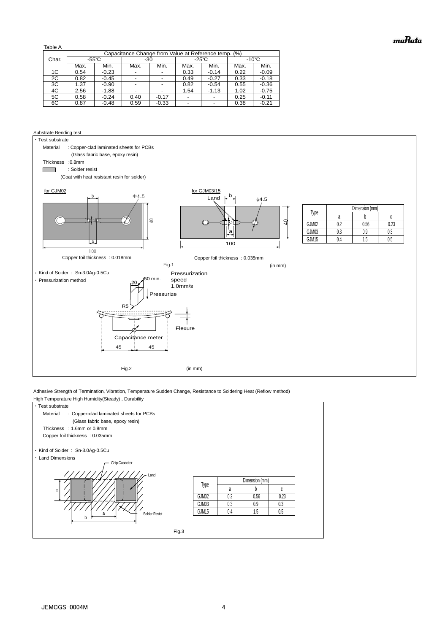Table A

| 1501011 |                                                      |         |                          |         |                 |                          |                 |         |
|---------|------------------------------------------------------|---------|--------------------------|---------|-----------------|--------------------------|-----------------|---------|
|         | Capacitance Change from Value at Reference temp. (%) |         |                          |         |                 |                          |                 |         |
| Char.   | $-55^{\circ}$ C                                      |         | -30                      |         | $-25^{\circ}$ C |                          | $-10^{\circ}$ C |         |
|         | Max.                                                 | Min.    | Max.                     | Min.    | Max.            | Min.                     | Max.            | Min.    |
| 1C      | 0.54                                                 | $-0.23$ |                          |         | 0.33            | $-0.14$                  | 0.22            | $-0.09$ |
| 2C      | 0.82                                                 | $-0.45$ | -                        |         | 0.49            | $-0.27$                  | 0.33            | $-0.18$ |
| 3C      | 1.37                                                 | $-0.90$ | $\overline{\phantom{0}}$ |         | 0.82            | $-0.54$                  | 0.55            | $-0.36$ |
| 4C      | 2.56                                                 | $-1.88$ |                          |         | 1.54            | $-1.13$                  | 1.02            | $-0.75$ |
| 5C      | 0.58                                                 | $-0.24$ | 0.40                     | $-0.17$ |                 |                          | 0.25            | $-0.11$ |
| 6C      | 0.87                                                 | $-0.48$ | 0.59                     | $-0.33$ |                 | $\overline{\phantom{a}}$ | 0.38            | $-0.21$ |
|         |                                                      |         |                          |         |                 |                          |                 |         |

#### Substrate Bending test



Adhesive Strength of Termination, Vibration, Temperature Sudden Change, Resistance to Soldering Heat (Reflow method)

| • Test substrate                                                                |                   |                |      |      |  |
|---------------------------------------------------------------------------------|-------------------|----------------|------|------|--|
| Material<br>: Copper-clad laminated sheets for PCBs                             |                   |                |      |      |  |
| (Glass fabric base, epoxy resin)                                                |                   |                |      |      |  |
| Thickness : 1.6mm or 0.8mm                                                      |                   |                |      |      |  |
| Copper foil thickness: 0.035mm                                                  |                   |                |      |      |  |
| • Kind of Solder: Sn-3.0Ag-0.5Cu<br>• Land Dimensions<br>Chip Capacitor<br>Land |                   |                |      |      |  |
|                                                                                 |                   | Dimension (mm) |      |      |  |
|                                                                                 |                   |                |      |      |  |
| $\circ$                                                                         | Type              | a              | b    | C    |  |
|                                                                                 | GJM02             | 0.2            | 0.56 | 0.23 |  |
|                                                                                 | GJM03             | 0.3            | 0.9  | 0.3  |  |
| a                                                                               | GJM <sub>15</sub> | 0.4            | 1.5  | 0.5  |  |
| <b>Solder Resist</b><br>b                                                       |                   |                |      |      |  |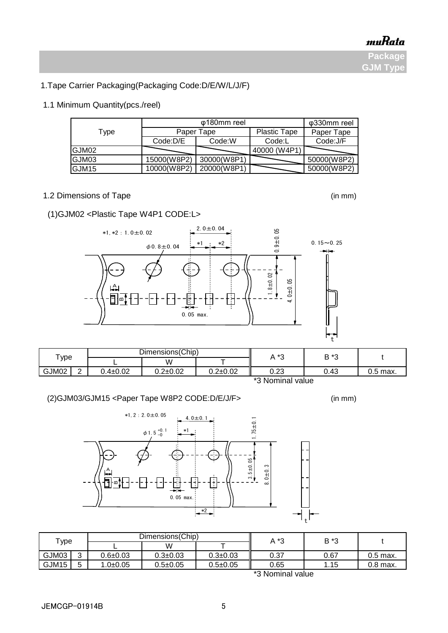1.Tape Carrier Packaging(Packaging Code:D/E/W/L/J/F)

### 1.1 Minimum Quantity(pcs./reel)

|       |                    | φ330mm reel |                     |             |  |
|-------|--------------------|-------------|---------------------|-------------|--|
| Type  |                    | Paper Tape  | <b>Plastic Tape</b> | Paper Tape  |  |
|       | Code:W<br>Code:D/E |             | Code:L              | Code:J/F    |  |
| GJM02 |                    |             | 40000 (W4P1)        |             |  |
| GJM03 | 15000(W8P2)        | 30000(W8P1) |                     | 50000(W8P2) |  |
| GJM15 | 10000(W8P2)        | 20000(W8P1) |                     | 50000(W8P2) |  |

 $2.0 \pm 0.04$ 

\*2

÷

 $\phi$ 0.8±0.04  $\stackrel{*1}{\overbrace{\phantom{0}}^{*1}}$   $\stackrel{*2}{\overbrace{\phantom{0}}^{*2}}$  0.15~0.25

 $0.9 + 0.05$ 

1.8±0.02

 $.0 ± 0.05$ 

\*1

### 1.2 Dimensions of Tape (in mm)

(1)GJM02 <Plastic Tape W4P1 CODE:L>

\*1,\*2:1.0±0.02

A

∞t

¤I∙

### L | W | T GJM02 | 2 | 0.4±0.02 | 0.2±0.02 | 0.2±0.02 || 0.23 | 0.43 | 0.5 max. Type  $\begin{array}{ccc} \begin{array}{ccc} \begin{array}{ccc} \text{1} & \text{1} & \text{1} & \text{1} & \text{1} & \text{1} & \text{1} & \text{1} & \text{1} & \text{1} & \text{1} & \text{1} & \text{1} & \text{1} & \text{1} & \text{1} & \text{1} & \text{1} & \text{1} & \text{1} & \text{1} & \text{1} & \text{1} & \text{1} & \text{1} & \text{1} & \text{1} & \text{1} & \text{1} & \text{1} & \text{1} & \text{1} & \text$

0.05 max.

t



\*3 Nominal value

t



\*2

ŧ

0.05 max.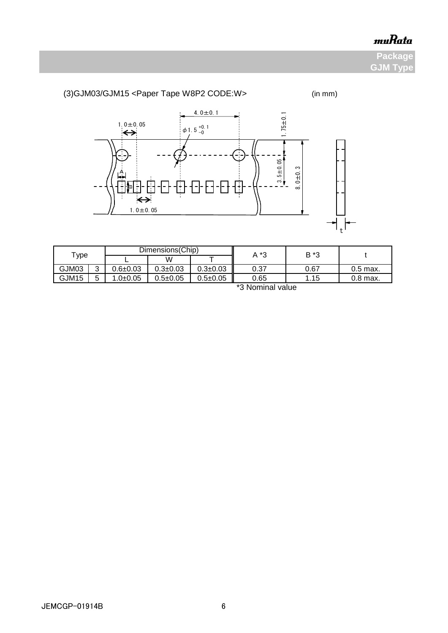**Package GJM Type**

### (3)GJM03/GJM15 <Paper Tape W8P2 CODE:W> (in mm) 4.0 $\pm$ 0.1 1.75±0.1 1.0 $\pm$ 0.05  $\phi$  1.5  $^{+0.1}_{-0}$ Œ  $\frac{3.5 \pm 0.05}{2}$ 8.0±0.3 A O Ŧ m  $\leftrightarrow$  $1.0 \pm 0.05$  $\mathbf{f}_\mathrm{t}$

| $\tau$ ype |                                               |              | Dimensions (Chip) |                | *3<br>Α | B *3       |            |  |  |  |
|------------|-----------------------------------------------|--------------|-------------------|----------------|---------|------------|------------|--|--|--|
|            |                                               |              | W                 |                |         |            |            |  |  |  |
| GJM03      | ◠                                             | 0.6±0.03     | $0.3 \pm 0.03$    | $0.3 + 0.03$   | 0.37    | 0.67       | $0.5$ max. |  |  |  |
| GJM15      | г                                             | $1.0 + 0.05$ | $0.5 \pm 0.05$    | $0.5 \pm 0.05$ | 0.65    | 1.15<br>п. | $0.8$ max. |  |  |  |
|            | $*$ $\Omega$ Material and the set of $\Omega$ |              |                   |                |         |            |            |  |  |  |

\*3 Nominal value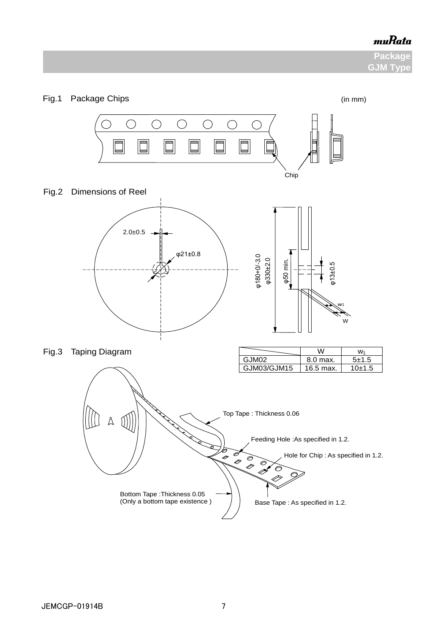**Package GJM Type** 

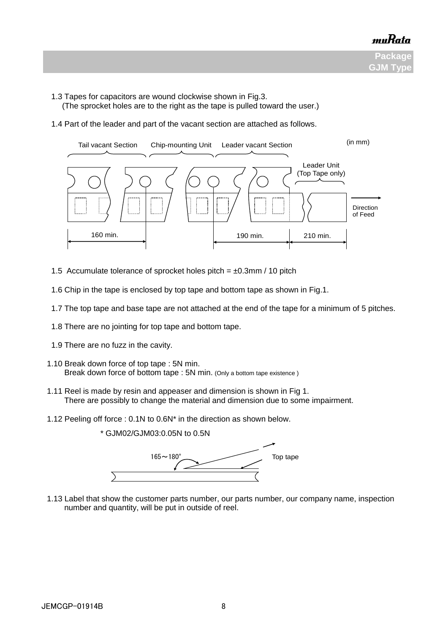

- 1.3 Tapes for capacitors are wound clockwise shown in Fig.3.
	- (The sprocket holes are to the right as the tape is pulled toward the user.)
- 1.4 Part of the leader and part of the vacant section are attached as follows.



- 1.5 Accumulate tolerance of sprocket holes pitch =  $\pm 0.3$ mm / 10 pitch
- 1.6 Chip in the tape is enclosed by top tape and bottom tape as shown in Fig.1.
- 1.7 The top tape and base tape are not attached at the end of the tape for a minimum of 5 pitches.
- 1.8 There are no jointing for top tape and bottom tape.
- 1.9 There are no fuzz in the cavity.
- 1.10 Break down force of top tape : 5N min. Break down force of bottom tape : 5N min. (Only a bottom tape existence )
- 1.11 Reel is made by resin and appeaser and dimension is shown in Fig 1. There are possibly to change the material and dimension due to some impairment.
	- 1.12 Peeling off force : 0.1N to 0.6N\* in the direction as shown below.



 1.13 Label that show the customer parts number, our parts number, our company name, inspection number and quantity, will be put in outside of reel.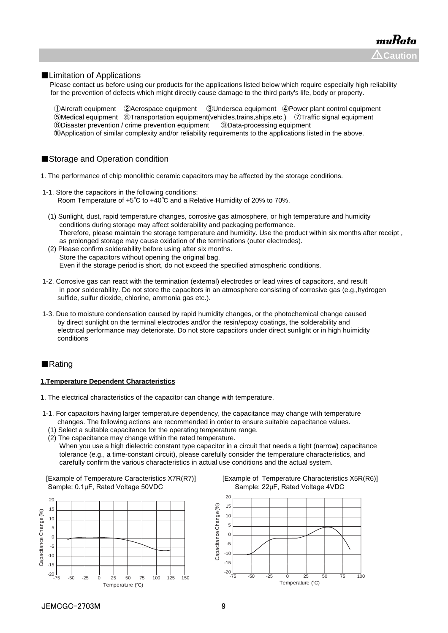#### ■Limitation of Applications

Please contact us before using our products for the applications listed below which require especially high reliability for the prevention of defects which might directly cause damage to the third party's life, body or property.

Aircraft equipment ②Aerospace equipment ③Undersea equipment ④Power plant control equipment Medical equipment ⑥Transportation equipment(vehicles,trains,ships,etc.) ⑦Traffic signal equipment Disaster prevention / crime prevention equipment ⑨Data-processing equipment ⑩Application of similar complexity and/or reliability requirements to the applications listed in the above.

#### ■Storage and Operation condition

- 1. The performance of chip monolithic ceramic capacitors may be affected by the storage conditions.
- 1-1. Store the capacitors in the following conditions: Room Temperature of +5℃ to +40℃ and a Relative Humidity of 20% to 70%.
	- (1) Sunlight, dust, rapid temperature changes, corrosive gas atmosphere, or high temperature and humidity conditions during storage may affect solderability and packaging performance. Therefore, please maintain the storage temperature and humidity. Use the product within six months after receipt , as prolonged storage may cause oxidation of the terminations (outer electrodes).
	- (2) Please confirm solderability before using after six months. Store the capacitors without opening the original bag. Even if the storage period is short, do not exceed the specified atmospheric conditions.
- 1-2. Corrosive gas can react with the termination (external) electrodes or lead wires of capacitors, and result in poor solderability. Do not store the capacitors in an atmosphere consisting of corrosive gas (e.g.,hydrogen sulfide, sulfur dioxide, chlorine, ammonia gas etc.).
- 1-3. Due to moisture condensation caused by rapid humidity changes, or the photochemical change caused by direct sunlight on the terminal electrodes and/or the resin/epoxy coatings, the solderability and electrical performance may deteriorate. Do not store capacitors under direct sunlight or in high huimidity conditions

#### ■Rating

#### **1.Temperature Dependent Characteristics**

- 1. The electrical characteristics of the capacitor can change with temperature.
- 1-1. For capacitors having larger temperature dependency, the capacitance may change with temperature changes. The following actions are recommended in order to ensure suitable capacitance values.
	- (1) Select a suitable capacitance for the operating temperature range.
	- (2) The capacitance may change within the rated temperature. When you use a high dielectric constant type capacitor in a circuit that needs a tight (narrow) capacitance tolerance (e.g., a time-constant circuit), please carefully consider the temperature characteristics, and carefully confirm the various characteristics in actual use conditions and the actual system.

Sample: 0.1μF, Rated Voltage 50VDC Sample: 22μF, Rated Voltage 4VDC





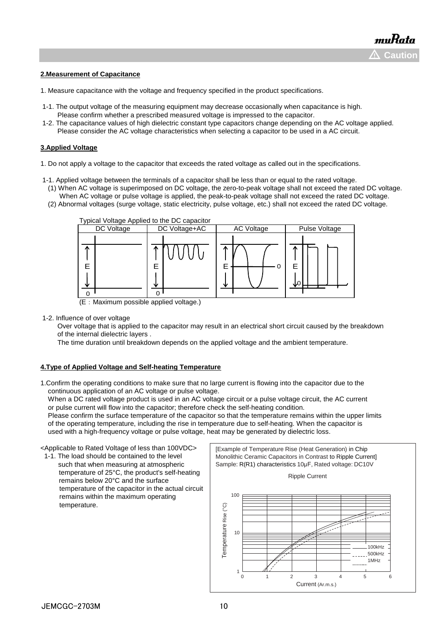#### **2.Measurement of Capacitance**

- 1. Measure capacitance with the voltage and frequency specified in the product specifications.
- 1-1. The output voltage of the measuring equipment may decrease occasionally when capacitance is high. Please confirm whether a prescribed measured voltage is impressed to the capacitor.
- 1-2. The capacitance values of high dielectric constant type capacitors change depending on the AC voltage applied. Please consider the AC voltage characteristics when selecting a capacitor to be used in a AC circuit.

#### **3.Applied Voltage**

- 1. Do not apply a voltage to the capacitor that exceeds the rated voltage as called out in the specifications.
- 1-1. Applied voltage between the terminals of a capacitor shall be less than or equal to the rated voltage.
	- (1) When AC voltage is superimposed on DC voltage, the zero-to-peak voltage shall not exceed the rated DC voltage. When AC voltage or pulse voltage is applied, the peak-to-peak voltage shall not exceed the rated DC voltage.
	- (2) Abnormal voltages (surge voltage, static electricity, pulse voltage, etc.) shall not exceed the rated DC voltage.



(E:Maximum possible applied voltage.)

1-2. Influence of over voltage

 Over voltage that is applied to the capacitor may result in an electrical short circuit caused by the breakdown of the internal dielectric layers .

The time duration until breakdown depends on the applied voltage and the ambient temperature.

#### **4.Type of Applied Voltage and Self-heating Temperature**

1.Confirm the operating conditions to make sure that no large current is flowing into the capacitor due to the continuous application of an AC voltage or pulse voltage.

When a DC rated voltage product is used in an AC voltage circuit or a pulse voltage circuit, the AC current or pulse current will flow into the capacitor; therefore check the self-heating condition.

 Please confirm the surface temperature of the capacitor so that the temperature remains within the upper limits of the operating temperature, including the rise in temperature due to self-heating. When the capacitor is used with a high-frequency voltage or pulse voltage, heat may be generated by dielectric loss.

<Applicable to Rated Voltage of less than 100VDC>

 1-1. The load should be contained to the level such that when measuring at atmospheric temperature of 25°C, the product's self-heating remains below 20°C and the surface temperature of the capacitor in the actual circuit remains within the maximum operating temperature.

[Example of Temperature Rise (Heat Generation) in Chip Monolithic Ceramic Capacitors in Contrast to Ripple Current] Sample: R(R1) characteristics 10μF, Rated voltage: DC10V



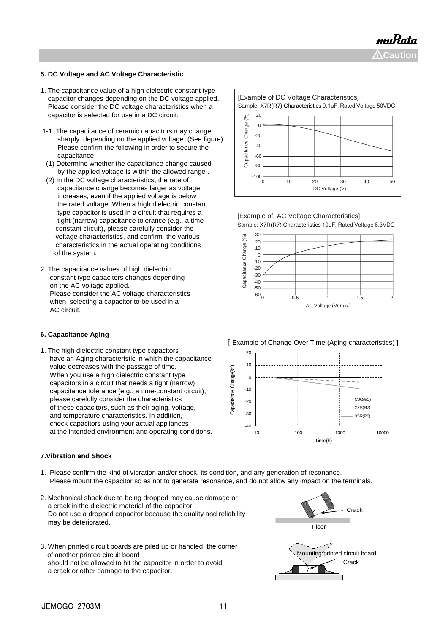muRata  $\Delta$ Caution

### **5. DC Voltage and AC Voltage Characteristic**

- 1. The capacitance value of a high dielectric constant type capacitor changes depending on the DC voltage applied. Please consider the DC voltage characteristics when a capacitor is selected for use in a DC circuit.
- 1-1. The capacitance of ceramic capacitors may change sharply depending on the applied voltage. (See figure) Please confirm the following in order to secure the capacitance.
- (1) Determine whether the capacitance change caused by the applied voltage is within the allowed range .
- (2) In the DC voltage characteristics, the rate of capacitance change becomes larger as voltage increases, even if the applied voltage is below the rated voltage. When a high dielectric constant type capacitor is used in a circuit that requires a tight (narrow) capacitance tolerance (e.g., a time constant circuit), please carefully consider the voltage characteristics, and confirm the various characteristics in the actual operating conditions of the system.
- 2. The capacitance values of high dielectric constant type capacitors changes depending on the AC voltage applied. Please consider the AC voltage characteristics when selecting a capacitor to be used in a AC circuit.

#### **6. Capacitance Aging**

1. The high dielectric constant type capacitors have an Aging characteristic in which the capacitance value decreases with the passage of time. When you use a high dielectric constant type capacitors in a circuit that needs a tight (narrow) capacitance tolerance (e.g., a time-constant circuit), please carefully consider the characteristics of these capacitors, such as their aging, voltage, and temperature characteristics. In addition, check capacitors using your actual appliances at the intended environment and operating conditions.

#### **7.Vibration and Shock**

- 1. Please confirm the kind of vibration and/or shock, its condition, and any generation of resonance. Please mount the capacitor so as not to generate resonance, and do not allow any impact on the terminals.
- 2. Mechanical shock due to being dropped may cause damage or a crack in the dielectric material of the capacitor. Do not use a dropped capacitor because the quality and reliability may be deteriorated.
- 3. When printed circuit boards are piled up or handled, the corner of another printed circuit board should not be allowed to hit the capacitor in order to avoid a crack or other damage to the capacitor.







[ Example of Change Over Time (Aging characteristics) ]



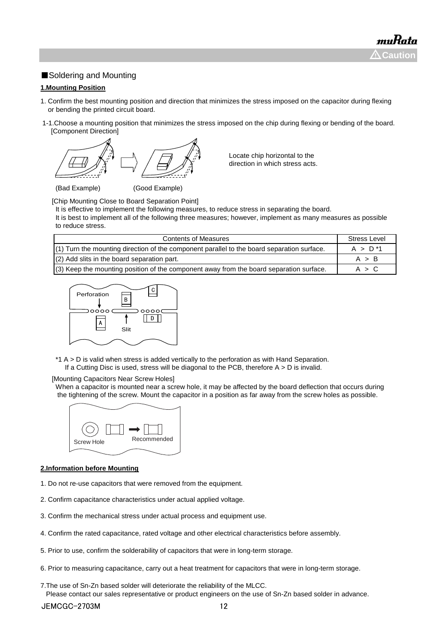### ■Soldering and Mounting

#### **1.Mounting Position**

- 1. Confirm the best mounting position and direction that minimizes the stress imposed on the capacitor during flexing or bending the printed circuit board.
- 1-1.Choose a mounting position that minimizes the stress imposed on the chip during flexing or bending of the board. [Component Direction]



Locate chip horizontal to the direction in which stress acts.

(Bad Example) (Good Example)

[Chip Mounting Close to Board Separation Point]

It is effective to implement the following measures, to reduce stress in separating the board.

It is best to implement all of the following three measures; however, implement as many measures as possible to reduce stress.

| <b>Contents of Measures</b>                                                                  | <b>Stress Level</b> |
|----------------------------------------------------------------------------------------------|---------------------|
| $(1)$ Turn the mounting direction of the component parallel to the board separation surface. | $A > D^*1$          |
| $(2)$ Add slits in the board separation part.                                                | A > B               |
| (3) Keep the mounting position of the component away from the board separation surface.      | A > C               |



\*1 A > D is valid when stress is added vertically to the perforation as with Hand Separation. If a Cutting Disc is used, stress will be diagonal to the PCB, therefore  $A > D$  is invalid.

#### [Mounting Capacitors Near Screw Holes]

When a capacitor is mounted near a screw hole, it may be affected by the board deflection that occurs during the tightening of the screw. Mount the capacitor in a position as far away from the screw holes as possible.



#### **2.Information before Mounting**

- 1. Do not re-use capacitors that were removed from the equipment.
- 2. Confirm capacitance characteristics under actual applied voltage.
- 3. Confirm the mechanical stress under actual process and equipment use.
- 4. Confirm the rated capacitance, rated voltage and other electrical characteristics before assembly.
- 5. Prior to use, confirm the solderability of capacitors that were in long-term storage.
- 6. Prior to measuring capacitance, carry out a heat treatment for capacitors that were in long-term storage.
- 7.The use of Sn-Zn based solder will deteriorate the reliability of the MLCC. Please contact our sales representative or product engineers on the use of Sn-Zn based solder in advance.

JEMCGC-2703M 12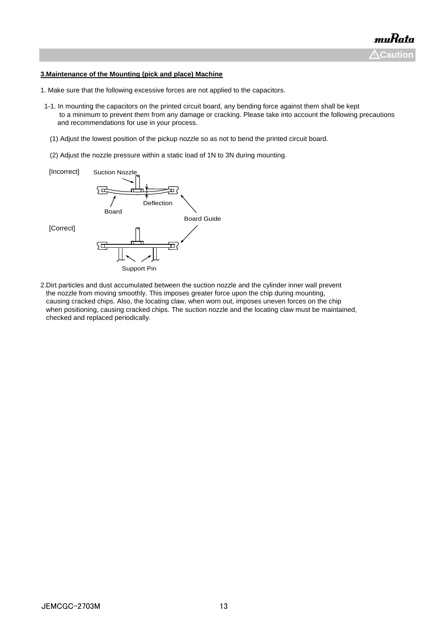#### **3.Maintenance of the Mounting (pick and place) Machine**

- 1. Make sure that the following excessive forces are not applied to the capacitors.
- 1-1. In mounting the capacitors on the printed circuit board, any bending force against them shall be kept to a minimum to prevent them from any damage or cracking. Please take into account the following precautions and recommendations for use in your process.
	- (1) Adjust the lowest position of the pickup nozzle so as not to bend the printed circuit board.
	- (2) Adjust the nozzle pressure within a static load of 1N to 3N during mounting.



2.Dirt particles and dust accumulated between the suction nozzle and the cylinder inner wall prevent the nozzle from moving smoothly. This imposes greater force upon the chip during mounting, causing cracked chips. Also, the locating claw, when worn out, imposes uneven forces on the chip when positioning, causing cracked chips. The suction nozzle and the locating claw must be maintained, checked and replaced periodically.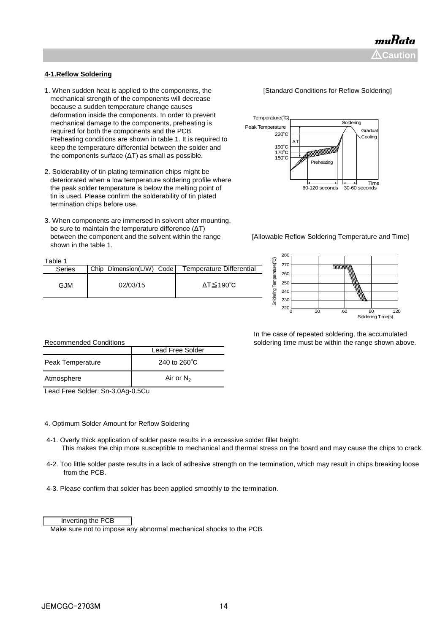### **4-1.Reflow Soldering**

- 1. When sudden heat is applied to the components, the **[Standard Conditions for Reflow Soldering]**  mechanical strength of the components will decrease because a sudden temperature change causes deformation inside the components. In order to prevent mechanical damage to the components, preheating is required for both the components and the PCB. Preheating conditions are shown in table 1. It is required to keep the temperature differential between the solder and the components surface (ΔT) as small as possible.
- 2. Solderability of tin plating termination chips might be deteriorated when a low temperature soldering profile where the peak solder temperature is below the melting point of tin is used. Please confirm the solderability of tin plated termination chips before use.
- 3. When components are immersed in solvent after mounting, be sure to maintain the temperature difference (ΔT) between the component and the solvent within the range [Allowable Reflow Soldering Temperature and Time] shown in the table 1.







 In the case of repeated soldering, the accumulated soldering time must be within the range shown above.

| <b>Recommended Conditions</b> |                        |  |  |  |  |
|-------------------------------|------------------------|--|--|--|--|
|                               | Lead Free Solder       |  |  |  |  |
| Peak Temperature              | 240 to $260^{\circ}$ C |  |  |  |  |
| Atmosphere                    | Air or $N_2$           |  |  |  |  |

Lead Free Solder: Sn-3.0Ag-0.5Cu

#### 4. Optimum Solder Amount for Reflow Soldering

- 4-1. Overly thick application of solder paste results in a excessive solder fillet height. This makes the chip more susceptible to mechanical and thermal stress on the board and may cause the chips to crack.
- 4-2. Too little solder paste results in a lack of adhesive strength on the termination, which may result in chips breaking loose from the PCB.
- 4-3. Please confirm that solder has been applied smoothly to the termination.

#### Inverting the PCB

Make sure not to impose any abnormal mechanical shocks to the PCB.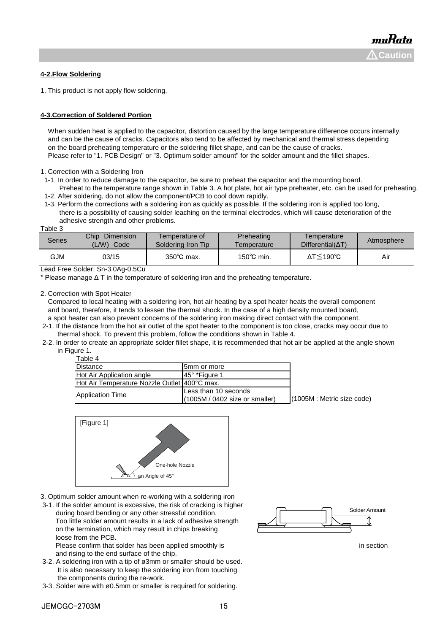#### **4-2.Flow Soldering**

1. This product is not apply flow soldering.

#### **4-3.Correction of Soldered Portion**

When sudden heat is applied to the capacitor, distortion caused by the large temperature difference occurs internally, and can be the cause of cracks. Capacitors also tend to be affected by mechanical and thermal stress depending on the board preheating temperature or the soldering fillet shape, and can be the cause of cracks. Please refer to "1. PCB Design" or "3. Optimum solder amount" for the solder amount and the fillet shapes.

1. Correction with a Soldering Iron

- 1-1. In order to reduce damage to the capacitor, be sure to preheat the capacitor and the mounting board.
- Preheat to the temperature range shown in Table 3. A hot plate, hot air type preheater, etc. can be used for preheating. 1-2. After soldering, do not allow the component/PCB to cool down rapidly.
- 1-3. Perform the corrections with a soldering iron as quickly as possible. If the soldering iron is applied too long, there is a possibility of causing solder leaching on the terminal electrodes, which will cause deterioration of the adhesive strength and other problems.

Table 3

| Series | Dimension<br>Chip<br>L(W)<br>Code | Temperature of<br>Soldering Iron Tip | Preheating<br>Temperature | I emperature<br>$Differential(\Delta T)$ | Atmosphere |
|--------|-----------------------------------|--------------------------------------|---------------------------|------------------------------------------|------------|
| GJM    | 03/15                             | $350^{\circ}$ C max.                 | 150 $^{\circ}$ C min.     | $\Delta T \leq 190^{\circ}C$             | Air        |

Lead Free Solder: Sn-3.0Ag-0.5Cu

\* Please manage Δ T in the temperature of soldering iron and the preheating temperature.

2. Correction with Spot Heater

 Compared to local heating with a soldering iron, hot air heating by a spot heater heats the overall component and board, therefore, it tends to lessen the thermal shock. In the case of a high density mounted board, a spot heater can also prevent concerns of the soldering iron making direct contact with the component.

- 2-1. If the distance from the hot air outlet of the spot heater to the component is too close, cracks may occur due to thermal shock. To prevent this problem, follow the conditions shown in Table 4.
- 2-2. In order to create an appropriate solder fillet shape, it is recommended that hot air be applied at the angle shown in Figure 1.

| Table 4                                      |                                                          |                               |
|----------------------------------------------|----------------------------------------------------------|-------------------------------|
| <b>Distance</b>                              | 5mm or more                                              |                               |
| Hot Air Application angle                    | 145° *Figure 1                                           |                               |
| Hot Air Temperature Nozzle Outlet 400°C max. |                                                          |                               |
| <b>Application Time</b>                      | Less than 10 seconds<br>$(1005M / 0402$ size or smaller) | $(1005M)$ : Metric size code) |



- 3. Optimum solder amount when re-working with a soldering iron
- 3-1. If the solder amount is excessive, the risk of cracking is higher during board bending or any other stressful condition. Too little solder amount results in a lack of adhesive strength on the termination, which may result in chips breaking loose from the PCB.

Please confirm that solder has been applied smoothly is in section in section and rising to the end surface of the chip.

- 3-2. A soldering iron with a tip of ø3mm or smaller should be used. It is also necessary to keep the soldering iron from touching the components during the re-work.
- 3-3. Solder wire with ø0.5mm or smaller is required for soldering.

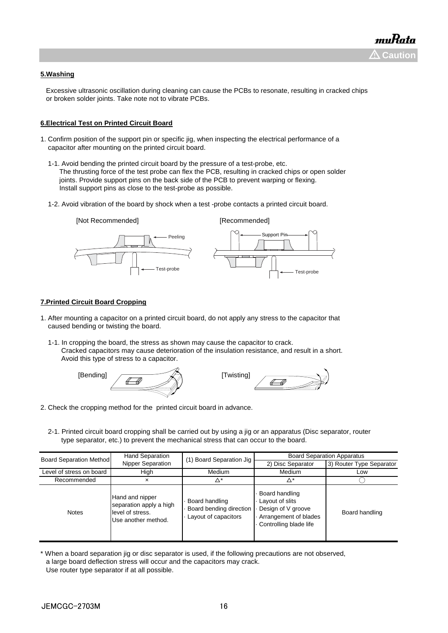#### **5.Washing**

 Excessive ultrasonic oscillation during cleaning can cause the PCBs to resonate, resulting in cracked chips or broken solder joints. Take note not to vibrate PCBs.

#### **6.Electrical Test on Printed Circuit Board**

- 1. Confirm position of the support pin or specific jig, when inspecting the electrical performance of a capacitor after mounting on the printed circuit board.
	- 1-1. Avoid bending the printed circuit board by the pressure of a test-probe, etc. The thrusting force of the test probe can flex the PCB, resulting in cracked chips or open solder joints. Provide support pins on the back side of the PCB to prevent warping or flexing. Install support pins as close to the test-probe as possible.
	- 1-2. Avoid vibration of the board by shock when a test -probe contacts a printed circuit board.



#### **7.Printed Circuit Board Cropping**

- 1. After mounting a capacitor on a printed circuit board, do not apply any stress to the capacitor that caused bending or twisting the board.
	- 1-1. In cropping the board, the stress as shown may cause the capacitor to crack. Cracked capacitors may cause deterioration of the insulation resistance, and result in a short. Avoid this type of stress to a capacitor.





- 2. Check the cropping method for the printed circuit board in advance.
	- 2-1. Printed circuit board cropping shall be carried out by using a jig or an apparatus (Disc separator, router type separator, etc.) to prevent the mechanical stress that can occur to the board.

| <b>Board Separation Method</b> | <b>Hand Separation</b>                                                                | (1) Board Separation Jig                                          | <b>Board Separation Apparatus</b>                                                                          |                          |  |
|--------------------------------|---------------------------------------------------------------------------------------|-------------------------------------------------------------------|------------------------------------------------------------------------------------------------------------|--------------------------|--|
|                                | Nipper Separation                                                                     |                                                                   | 2) Disc Separator                                                                                          | 3) Router Type Separator |  |
| Level of stress on board       | High                                                                                  | Medium                                                            | Medium                                                                                                     | Low                      |  |
| Recommended                    | ×                                                                                     | Δ*                                                                | Δ*                                                                                                         |                          |  |
| <b>Notes</b>                   | Hand and nipper<br>separation apply a high<br>level of stress.<br>Use another method. | Board handling<br>Board bending direction<br>Layout of capacitors | Board handling<br>Layout of slits<br>Design of V groove<br>Arrangement of blades<br>Controlling blade life | Board handling           |  |

<sup>\*</sup> When a board separation jig or disc separator is used, if the following precautions are not observed, a large board deflection stress will occur and the capacitors may crack. Use router type separator if at all possible.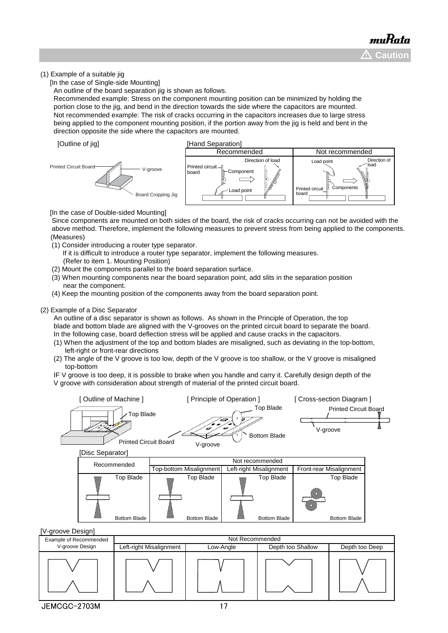#### (1) Example of a suitable jig

[In the case of Single-side Mounting]

An outline of the board separation jig is shown as follows.

 Recommended example: Stress on the component mounting position can be minimized by holding the portion close to the jig, and bend in the direction towards the side where the capacitors are mounted. Not recommended example: The risk of cracks occurring in the capacitors increases due to large stress being applied to the component mounting position, if the portion away from the jig is held and bent in the direction opposite the side where the capacitors are mounted.





[In the case of Double-sided Mounting]

 Since components are mounted on both sides of the board, the risk of cracks occurring can not be avoided with the above method. Therefore, implement the following measures to prevent stress from being applied to the components. (Measures)

- (1) Consider introducing a router type separator.
	- If it is difficult to introduce a router type separator, implement the following measures. (Refer to item 1. Mounting Position)
- (2) Mount the components parallel to the board separation surface.
- (3) When mounting components near the board separation point, add slits in the separation position near the component.
- (4) Keep the mounting position of the components away from the board separation point.

#### (2) Example of a Disc Separator

 An outline of a disc separator is shown as follows. As shown in the Principle of Operation, the top blade and bottom blade are aligned with the V-grooves on the printed circuit board to separate the board. In the following case, board deflection stress will be applied and cause cracks in the capacitors.

- (1) When the adjustment of the top and bottom blades are misaligned, such as deviating in the top-bottom, left-right or front-rear directions
- (2) The angle of the V groove is too low, depth of the V groove is too shallow, or the V groove is misaligned top-bottom

 IF V groove is too deep, it is possible to brake when you handle and carry it. Carefully design depth of the V groove with consideration about strength of material of the printed circuit board.



| Example of Recommended | Not Recommended         |           |                   |                |
|------------------------|-------------------------|-----------|-------------------|----------------|
| V-groove Design        | Left-right Misalignment | Low-Angle | Depth too Shallow | Depth too Deep |
|                        |                         |           |                   |                |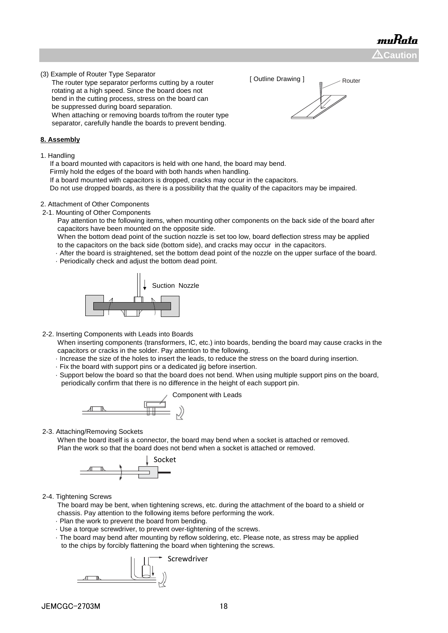muRata  $\Delta$ Caution

(3) Example of Router Type Separator

 The router type separator performs cutting by a router rotating at a high speed. Since the board does not bend in the cutting process, stress on the board can be suppressed during board separation. When attaching or removing boards to/from the router type separator, carefully handle the boards to prevent bending.

#### **8. Assembly**

1. Handling

If a board mounted with capacitors is held with one hand, the board may bend.

Firmly hold the edges of the board with both hands when handling.

If a board mounted with capacitors is dropped, cracks may occur in the capacitors.

Do not use dropped boards, as there is a possibility that the quality of the capacitors may be impaired.

#### 2. Attachment of Other Components

2-1. Mounting of Other Components

 Pay attention to the following items, when mounting other components on the back side of the board after capacitors have been mounted on the opposite side.

 When the bottom dead point of the suction nozzle is set too low, board deflection stress may be applied to the capacitors on the back side (bottom side), and cracks may occur in the capacitors.

· After the board is straightened, set the bottom dead point of the nozzle on the upper surface of the board.

· Periodically check and adjust the bottom dead point.



2-2. Inserting Components with Leads into Boards

 When inserting components (transformers, IC, etc.) into boards, bending the board may cause cracks in the capacitors or cracks in the solder. Pay attention to the following.

- · Increase the size of the holes to insert the leads, to reduce the stress on the board during insertion.
- · Fix the board with support pins or a dedicated jig before insertion.
- · Support below the board so that the board does not bend. When using multiple support pins on the board, periodically confirm that there is no difference in the height of each support pin.



2-3. Attaching/Removing Sockets

 When the board itself is a connector, the board may bend when a socket is attached or removed. Plan the work so that the board does not bend when a socket is attached or removed.



2-4. Tightening Screws

 The board may be bent, when tightening screws, etc. during the attachment of the board to a shield or chassis. Pay attention to the following items before performing the work.

- · Plan the work to prevent the board from bending.
- · Use a torque screwdriver, to prevent over-tightening of the screws.
- · The board may bend after mounting by reflow soldering, etc. Please note, as stress may be applied to the chips by forcibly flattening the board when tightening the screws.



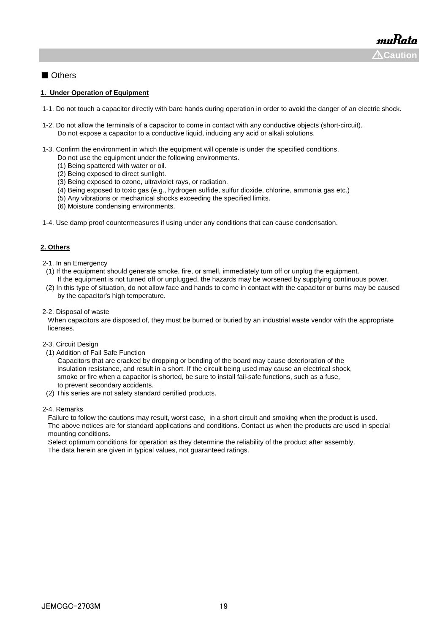### ■ Others

#### **1. Under Operation of Equipment**

- 1-1. Do not touch a capacitor directly with bare hands during operation in order to avoid the danger of an electric shock.
- 1-2. Do not allow the terminals of a capacitor to come in contact with any conductive objects (short-circuit). Do not expose a capacitor to a conductive liquid, inducing any acid or alkali solutions.
- 1-3. Confirm the environment in which the equipment will operate is under the specified conditions.
	- Do not use the equipment under the following environments.
	- (1) Being spattered with water or oil.
	- (2) Being exposed to direct sunlight.
	- (3) Being exposed to ozone, ultraviolet rays, or radiation.
	- (4) Being exposed to toxic gas (e.g., hydrogen sulfide, sulfur dioxide, chlorine, ammonia gas etc.)
	- (5) Any vibrations or mechanical shocks exceeding the specified limits.
	- (6) Moisture condensing environments.
- 1-4. Use damp proof countermeasures if using under any conditions that can cause condensation.

#### **2. Others**

- 2-1. In an Emergency
- (1) If the equipment should generate smoke, fire, or smell, immediately turn off or unplug the equipment. If the equipment is not turned off or unplugged, the hazards may be worsened by supplying continuous power.
- (2) In this type of situation, do not allow face and hands to come in contact with the capacitor or burns may be caused by the capacitor's high temperature.
- 2-2. Disposal of waste

 When capacitors are disposed of, they must be burned or buried by an industrial waste vendor with the appropriate licenses.

- 2-3. Circuit Design
- (1) Addition of Fail Safe Function

 Capacitors that are cracked by dropping or bending of the board may cause deterioration of the insulation resistance, and result in a short. If the circuit being used may cause an electrical shock, smoke or fire when a capacitor is shorted, be sure to install fail-safe functions, such as a fuse, to prevent secondary accidents.

(2) This series are not safety standard certified products.

#### 2-4. Remarks

 Failure to follow the cautions may result, worst case, in a short circuit and smoking when the product is used. The above notices are for standard applications and conditions. Contact us when the products are used in special mounting conditions.

 Select optimum conditions for operation as they determine the reliability of the product after assembly. The data herein are given in typical values, not guaranteed ratings.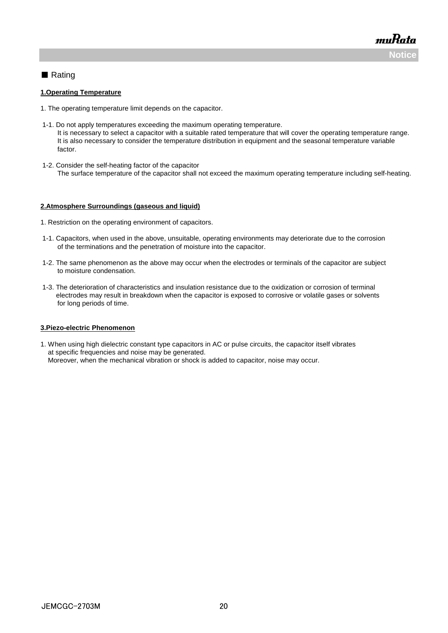muRata **Noti** 

### ■ Rating

#### **1.Operating Temperature**

- 1. The operating temperature limit depends on the capacitor.
- 1-1. Do not apply temperatures exceeding the maximum operating temperature. It is necessary to select a capacitor with a suitable rated temperature that will cover the operating temperature range. It is also necessary to consider the temperature distribution in equipment and the seasonal temperature variable factor.
- 1-2. Consider the self-heating factor of the capacitor The surface temperature of the capacitor shall not exceed the maximum operating temperature including self-heating.

#### **2.Atmosphere Surroundings (gaseous and liquid)**

- 1. Restriction on the operating environment of capacitors.
- 1-1. Capacitors, when used in the above, unsuitable, operating environments may deteriorate due to the corrosion of the terminations and the penetration of moisture into the capacitor.
- 1-2. The same phenomenon as the above may occur when the electrodes or terminals of the capacitor are subject to moisture condensation.
- 1-3. The deterioration of characteristics and insulation resistance due to the oxidization or corrosion of terminal electrodes may result in breakdown when the capacitor is exposed to corrosive or volatile gases or solvents for long periods of time.

#### **3.Piezo-electric Phenomenon**

1. When using high dielectric constant type capacitors in AC or pulse circuits, the capacitor itself vibrates at specific frequencies and noise may be generated. Moreover, when the mechanical vibration or shock is added to capacitor, noise may occur.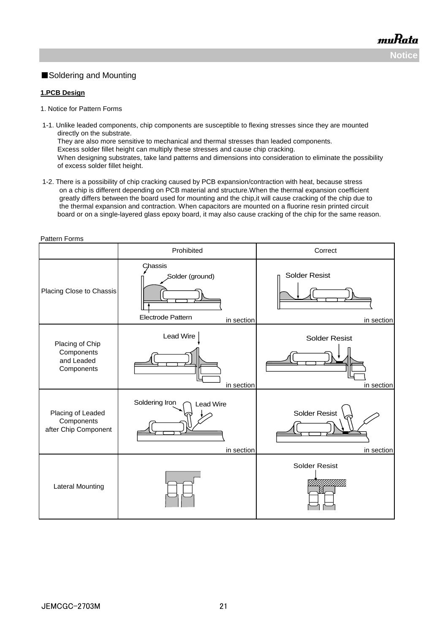### ■Soldering and Mounting

#### **1.PCB Design**

Pattern Forms

- 1. Notice for Pattern Forms
- 1-1. Unlike leaded components, chip components are susceptible to flexing stresses since they are mounted directly on the substrate. They are also more sensitive to mechanical and thermal stresses than leaded components. Excess solder fillet height can multiply these stresses and cause chip cracking. When designing substrates, take land patterns and dimensions into consideration to eliminate the possibility of excess solder fillet height.
- 1-2. There is a possibility of chip cracking caused by PCB expansion/contraction with heat, because stress on a chip is different depending on PCB material and structure.When the thermal expansion coefficient greatly differs between the board used for mounting and the chip,it will cause cracking of the chip due to the thermal expansion and contraction. When capacitors are mounted on a fluorine resin printed circuit board or on a single-layered glass epoxy board, it may also cause cracking of the chip for the same reason.

| allon Lonno                                               | Prohibited                                                    | Correct                            |
|-----------------------------------------------------------|---------------------------------------------------------------|------------------------------------|
| Placing Close to Chassis                                  | Chassis<br>Solder (ground)<br>Electrode Pattern<br>in section | <b>Solder Resist</b><br>in section |
| Placing of Chip<br>Components<br>and Leaded<br>Components | Lead Wire<br>in section                                       | <b>Solder Resist</b><br>in section |
| Placing of Leaded<br>Components<br>after Chip Component   | Soldering Iron<br><b>Lead Wire</b><br>in section              | <b>Solder Resist</b><br>in section |
| Lateral Mounting                                          |                                                               | <b>Solder Resist</b>               |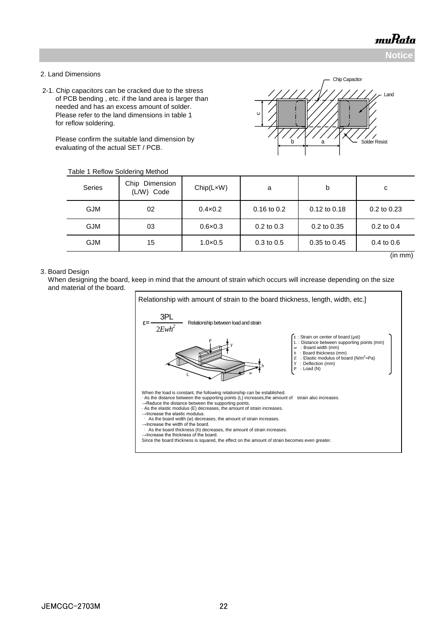Land

Chip Capacitor

**Notice**

(in mm)

#### 2. Land Dimensions

 2-1. Chip capacitors can be cracked due to the stress of PCB bending , etc. if the land area is larger than needed and has an excess amount of solder. Please refer to the land dimensions in table 1 for reflow soldering.

Please confirm the suitable land on evaluating of the actual SET / PC

| soldering.                                                                                         |                              |                           |               |              |                 |  |
|----------------------------------------------------------------------------------------------------|------------------------------|---------------------------|---------------|--------------|-----------------|--|
| onfirm the suitable land dimension by<br>g of the actual SET / PCB.<br>e 1 Reflow Soldering Method |                              | <b>Solder Resist</b><br>a |               |              |                 |  |
| Series                                                                                             | Chip Dimension<br>(L/W) Code | Chip(LxW)                 | a             | b            | с               |  |
| <b>GJM</b>                                                                                         | 02                           | $0.4 \times 0.2$          | $0.16$ to 0.2 | 0.12 to 0.18 | $0.2$ to $0.23$ |  |

Table 1 Reflow Soldering Met

#### 3. Board Design

 When designing the board, keep in mind that the amount of strain which occurs will increase depending on the size and material of the board.

GJM | 15 | 1.0×0.5 | 0.3 to 0.5 | 0.35 to 0.45 | 0.4 to 0.6

GJM | 03 | 0.6×0.3 | 0.2 to 0.3 | 0.2 to 0.35 | 0.2 to 0.4

c

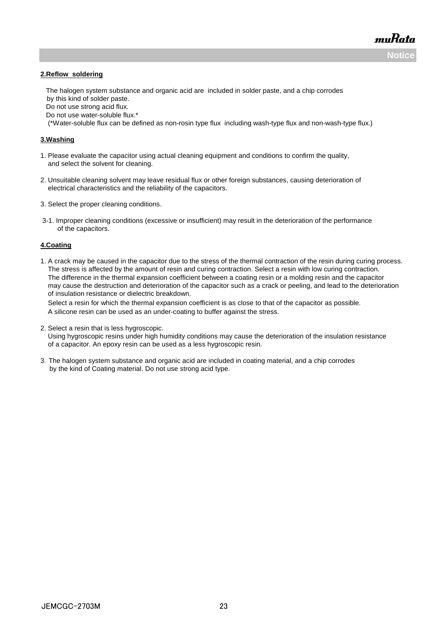**Notice**

muRata

#### **2.Reflow soldering**

 The halogen system substance and organic acid are included in solder paste, and a chip corrodes by this kind of solder paste.

Do not use strong acid flux.

Do not use water-soluble flux.\*

(\*Water-soluble flux can be defined as non-rosin type flux including wash-type flux and non-wash-type flux.)

#### **3.Washing**

- 1. Please evaluate the capacitor using actual cleaning equipment and conditions to confirm the quality, and select the solvent for cleaning.
- 2. Unsuitable cleaning solvent may leave residual flux or other foreign substances, causing deterioration of electrical characteristics and the reliability of the capacitors.
- 3. Select the proper cleaning conditions.
- 3-1. Improper cleaning conditions (excessive or insufficient) may result in the deterioration of the performance of the capacitors.

#### **4.Coating**

1. A crack may be caused in the capacitor due to the stress of the thermal contraction of the resin during curing process. The stress is affected by the amount of resin and curing contraction. Select a resin with low curing contraction. The difference in the thermal expansion coefficient between a coating resin or a molding resin and the capacitor may cause the destruction and deterioration of the capacitor such as a crack or peeling, and lead to the deterioration of insulation resistance or dielectric breakdown.

 Select a resin for which the thermal expansion coefficient is as close to that of the capacitor as possible. A silicone resin can be used as an under-coating to buffer against the stress.

2. Select a resin that is less hygroscopic.

 Using hygroscopic resins under high humidity conditions may cause the deterioration of the insulation resistance of a capacitor. An epoxy resin can be used as a less hygroscopic resin.

3.The halogen system substance and organic acid are included in coating material, and a chip corrodes by the kind of Coating material. Do not use strong acid type.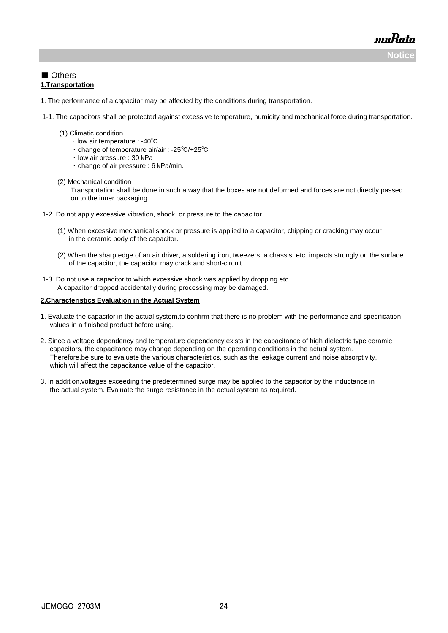**Notice**

muRata

### ■ Others **1.Transportation**

- 1. The performance of a capacitor may be affected by the conditions during transportation.
- 1-1. The capacitors shall be protected against excessive temperature, humidity and mechanical force during transportation.
	- (1) Climatic condition
		- ・ low air temperature : -40℃
		- ・ change of temperature air/air : -25℃/+25℃
		- ・ low air pressure : 30 kPa
			- ・ change of air pressure : 6 kPa/min.
	- (2) Mechanical condition

 Transportation shall be done in such a way that the boxes are not deformed and forces are not directly passed on to the inner packaging.

- 1-2. Do not apply excessive vibration, shock, or pressure to the capacitor.
	- (1) When excessive mechanical shock or pressure is applied to a capacitor, chipping or cracking may occur in the ceramic body of the capacitor.
	- (2) When the sharp edge of an air driver, a soldering iron, tweezers, a chassis, etc. impacts strongly on the surface of the capacitor, the capacitor may crack and short-circuit.
- 1-3. Do not use a capacitor to which excessive shock was applied by dropping etc. A capacitor dropped accidentally during processing may be damaged.

#### **2.Characteristics Evaluation in the Actual System**

- 1. Evaluate the capacitor in the actual system,to confirm that there is no problem with the performance and specification values in a finished product before using.
- 2. Since a voltage dependency and temperature dependency exists in the capacitance of high dielectric type ceramic capacitors, the capacitance may change depending on the operating conditions in the actual system. Therefore,be sure to evaluate the various characteristics, such as the leakage current and noise absorptivity, which will affect the capacitance value of the capacitor.
- 3. In addition,voltages exceeding the predetermined surge may be applied to the capacitor by the inductance in the actual system. Evaluate the surge resistance in the actual system as required.